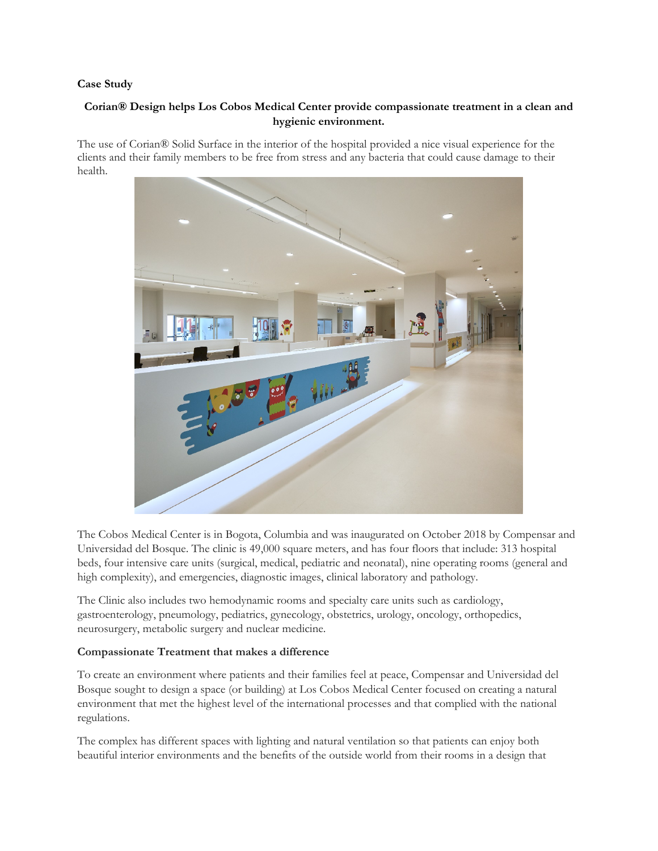#### **Case Study**

# **Corian® Design helps Los Cobos Medical Center provide compassionate treatment in a clean and hygienic environment.**

The use of Corian® Solid Surface in the interior of the hospital provided a nice visual experience for the clients and their family members to be free from stress and any bacteria that could cause damage to their health.



The Cobos Medical Center is in Bogota, Columbia and was inaugurated on October 2018 by Compensar and Universidad del Bosque. The clinic is 49,000 square meters, and has four floors that include: 313 hospital beds, four intensive care units (surgical, medical, pediatric and neonatal), nine operating rooms (general and high complexity), and emergencies, diagnostic images, clinical laboratory and pathology.

The Clinic also includes two hemodynamic rooms and specialty care units such as cardiology, gastroenterology, pneumology, pediatrics, gynecology, obstetrics, urology, oncology, orthopedics, neurosurgery, metabolic surgery and nuclear medicine.

### **Compassionate Treatment that makes a difference**

To create an environment where patients and their families feel at peace, Compensar and Universidad del Bosque sought to design a space (or building) at Los Cobos Medical Center focused on creating a natural environment that met the highest level of the international processes and that complied with the national regulations.

The complex has different spaces with lighting and natural ventilation so that patients can enjoy both beautiful interior environments and the benefits of the outside world from their rooms in a design that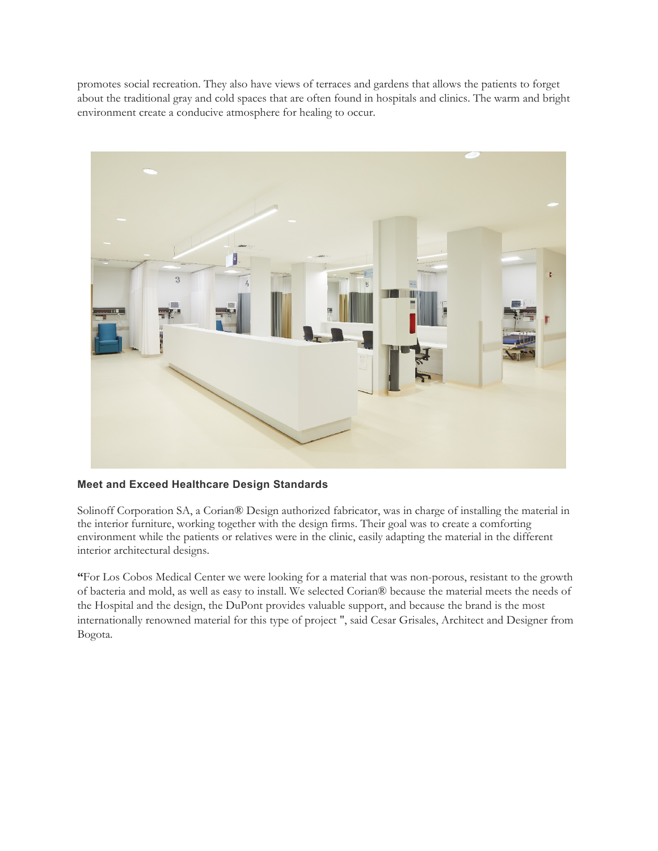promotes social recreation. They also have views of terraces and gardens that allows the patients to forget about the traditional gray and cold spaces that are often found in hospitals and clinics. The warm and bright environment create a conducive atmosphere for healing to occur.



# **Meet and Exceed Healthcare Design Standards**

Solinoff Corporation SA, a Corian® Design authorized fabricator, was in charge of installing the material in the interior furniture, working together with the design firms. Their goal was to create a comforting environment while the patients or relatives were in the clinic, easily adapting the material in the different interior architectural designs.

**"**For Los Cobos Medical Center we were looking for a material that was non-porous, resistant to the growth of bacteria and mold, as well as easy to install. We selected Corian® because the material meets the needs of the Hospital and the design, the DuPont provides valuable support, and because the brand is the most internationally renowned material for this type of project ", said Cesar Grisales, Architect and Designer from Bogota.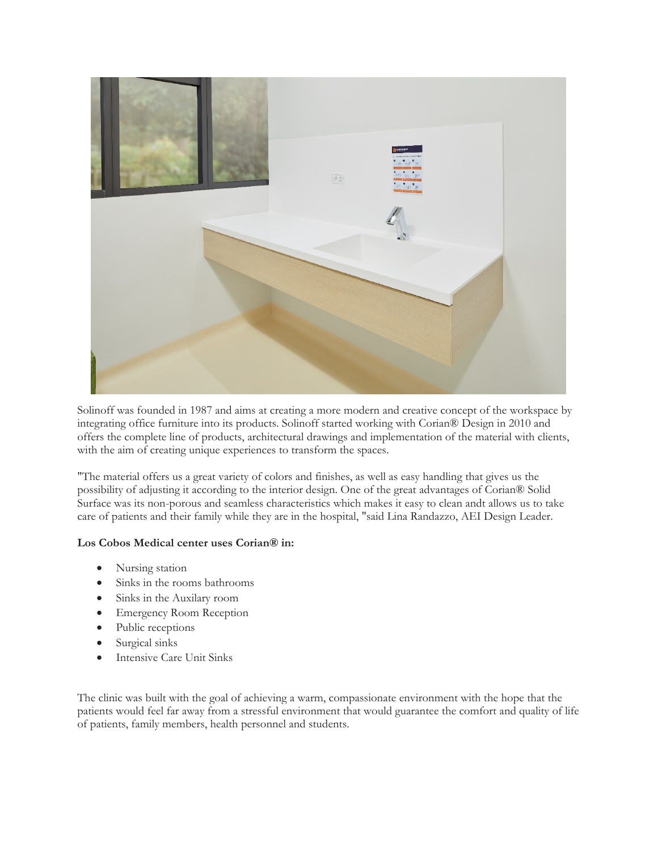

Solinoff was founded in 1987 and aims at creating a more modern and creative concept of the workspace by integrating office furniture into its products. Solinoff started working with Corian® Design in 2010 and offers the complete line of products, architectural drawings and implementation of the material with clients, with the aim of creating unique experiences to transform the spaces.

"The material offers us a great variety of colors and finishes, as well as easy handling that gives us the possibility of adjusting it according to the interior design. One of the great advantages of Corian® Solid Surface was its non-porous and seamless characteristics which makes it easy to clean andt allows us to take care of patients and their family while they are in the hospital, "said Lina Randazzo, AEI Design Leader.

### **Los Cobos Medical center uses Corian® in:**

- Nursing station
- Sinks in the rooms bathrooms
- Sinks in the Auxilary room
- Emergency Room Reception
- Public receptions
- Surgical sinks
- Intensive Care Unit Sinks

The clinic was built with the goal of achieving a warm, compassionate environment with the hope that the patients would feel far away from a stressful environment that would guarantee the comfort and quality of life of patients, family members, health personnel and students.